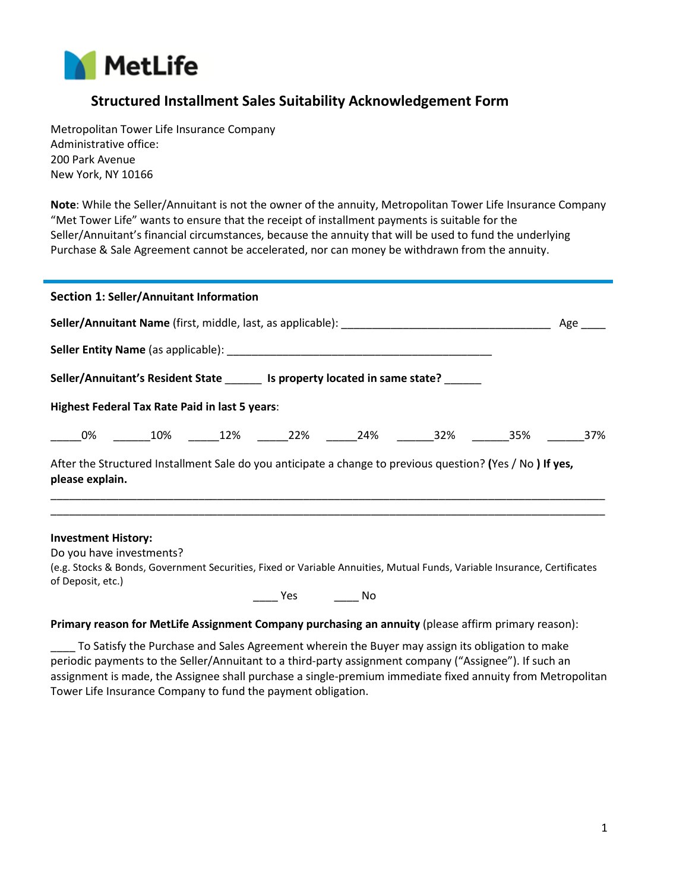

# **Structured Installment Sales Suitability Acknowledgement Form**

Metropolitan Tower Life Insurance Company Administrative office: 200 Park Avenue New York, NY 10166

**Note**: While the Seller/Annuitant is not the owner of the annuity, Metropolitan Tower Life Insurance Company "Met Tower Life" wants to ensure that the receipt of installment payments is suitable for the Seller/Annuitant's financial circumstances, because the annuity that will be used to fund the underlying Purchase & Sale Agreement cannot be accelerated, nor can money be withdrawn from the annuity.

|                 | <b>Section 1: Seller/Annuitant Information</b>        |  |  |                                                                                                           |  |  |     |
|-----------------|-------------------------------------------------------|--|--|-----------------------------------------------------------------------------------------------------------|--|--|-----|
|                 |                                                       |  |  |                                                                                                           |  |  | Age |
|                 |                                                       |  |  |                                                                                                           |  |  |     |
|                 |                                                       |  |  | Seller/Annuitant's Resident State 1997 Is property located in same state?                                 |  |  |     |
|                 | <b>Highest Federal Tax Rate Paid in last 5 years:</b> |  |  |                                                                                                           |  |  |     |
|                 |                                                       |  |  | ______0% _______10% ______12% ______22% ______24% _______32% ________35% _______37%                       |  |  |     |
| please explain. |                                                       |  |  | After the Structured Installment Sale do you anticipate a change to previous question? (Yes / No) If yes, |  |  |     |

**Investment History:** 

Do you have investments?

(e.g. Stocks & Bonds, Government Securities, Fixed or Variable Annuities, Mutual Funds, Variable Insurance, Certificates of Deposit, etc.)

\_\_\_\_\_\_\_\_\_\_\_\_\_\_\_\_\_\_\_\_\_\_\_\_\_\_\_\_\_\_\_\_\_\_\_\_\_\_\_\_\_\_\_\_\_\_\_\_\_\_\_\_\_\_\_\_\_\_\_\_\_\_\_\_\_\_\_\_\_\_\_\_\_\_\_\_\_\_\_\_\_\_\_\_\_\_\_\_\_\_ \_\_\_\_\_\_\_\_\_\_\_\_\_\_\_\_\_\_\_\_\_\_\_\_\_\_\_\_\_\_\_\_\_\_\_\_\_\_\_\_\_\_\_\_\_\_\_\_\_\_\_\_\_\_\_\_\_\_\_\_\_\_\_\_\_\_\_\_\_\_\_\_\_\_\_\_\_\_\_\_\_\_\_\_\_\_\_\_\_\_

\_\_\_\_ Yes \_\_\_\_ No

**Primary reason for MetLife Assignment Company purchasing an annuity** (please affirm primary reason):

To Satisfy the Purchase and Sales Agreement wherein the Buyer may assign its obligation to make periodic payments to the Seller/Annuitant to a third-party assignment company ("Assignee"). If such an assignment is made, the Assignee shall purchase a single-premium immediate fixed annuity from Metropolitan Tower Life Insurance Company to fund the payment obligation.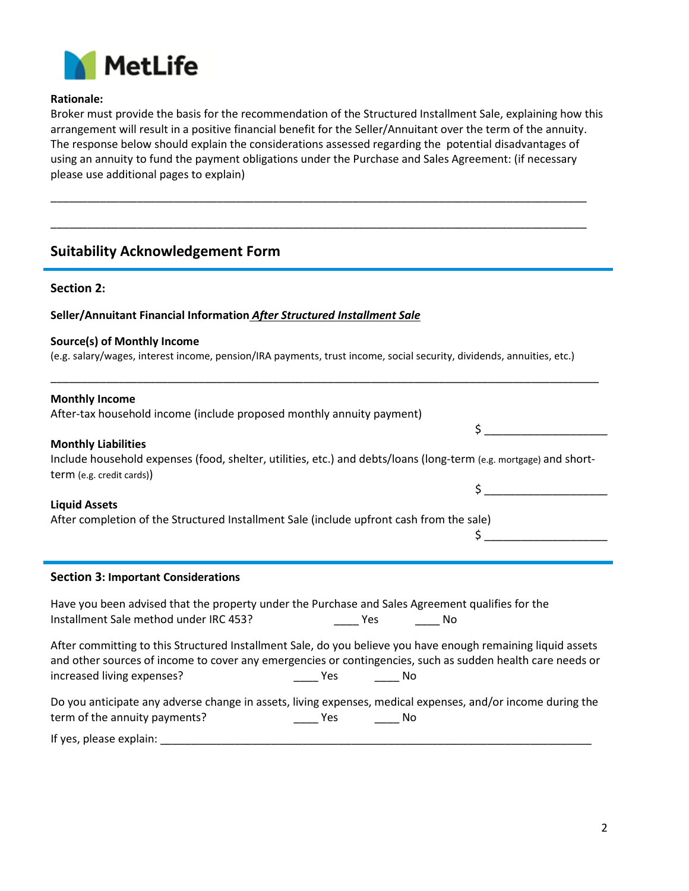

# **Rationale:**

Broker must provide the basis for the recommendation of the Structured Installment Sale, explaining how this arrangement will result in a positive financial benefit for the Seller/Annuitant over the term of the annuity. The response below should explain the considerations assessed regarding the potential disadvantages of using an annuity to fund the payment obligations under the Purchase and Sales Agreement: (if necessary please use additional pages to explain)

\_\_\_\_\_\_\_\_\_\_\_\_\_\_\_\_\_\_\_\_\_\_\_\_\_\_\_\_\_\_\_\_\_\_\_\_\_\_\_\_\_\_\_\_\_\_\_\_\_\_\_\_\_\_\_\_\_\_\_\_\_\_\_\_\_\_\_\_\_\_\_\_\_\_\_\_\_\_\_\_\_\_\_\_\_\_\_

\_\_\_\_\_\_\_\_\_\_\_\_\_\_\_\_\_\_\_\_\_\_\_\_\_\_\_\_\_\_\_\_\_\_\_\_\_\_\_\_\_\_\_\_\_\_\_\_\_\_\_\_\_\_\_\_\_\_\_\_\_\_\_\_\_\_\_\_\_\_\_\_\_\_\_\_\_\_\_\_\_\_\_\_\_\_\_

# **Suitability Acknowledgement Form**

# **Section 2:**

# **Seller/Annuitant Financial Information** *After Structured Installment Sale*

### **Source(s) of Monthly Income**

(e.g. salary/wages, interest income, pension/IRA payments, trust income, social security, dividends, annuities, etc.)

\_\_\_\_\_\_\_\_\_\_\_\_\_\_\_\_\_\_\_\_\_\_\_\_\_\_\_\_\_\_\_\_\_\_\_\_\_\_\_\_\_\_\_\_\_\_\_\_\_\_\_\_\_\_\_\_\_\_\_\_\_\_\_\_\_\_\_\_\_\_\_\_\_\_\_\_\_\_\_\_\_\_\_\_\_\_\_\_\_

### **Monthly Income**

After-tax household income (include proposed monthly annuity payment)

#### **Monthly Liabilities**

Include household expenses (food, shelter, utilities, etc.) and debts/loans (long-term (e.g. mortgage) and shortterm (e.g. credit cards))

#### **Liquid Assets**

After completion of the Structured Installment Sale (include upfront cash from the sale)

### **Section 3: Important Considerations**

| Have you been advised that the property under the Purchase and Sales Agreement qualifies for the                                                                                                                                                         |     |            |     |  |
|----------------------------------------------------------------------------------------------------------------------------------------------------------------------------------------------------------------------------------------------------------|-----|------------|-----|--|
| Installment Sale method under IRC 453?                                                                                                                                                                                                                   |     | <b>Yes</b> | No. |  |
| After committing to this Structured Installment Sale, do you believe you have enough remaining liquid assets<br>and other sources of income to cover any emergencies or contingencies, such as sudden health care needs or<br>increased living expenses? | Yes | - No       |     |  |
| Do you anticipate any adverse change in assets, living expenses, medical expenses, and/or income during the<br>term of the annuity payments?                                                                                                             | Yes | - No       |     |  |
| If yes, please explain:                                                                                                                                                                                                                                  |     |            |     |  |

 $\mathsf{S}$ 

 $\sharp$ 

\$ \_\_\_\_\_\_\_\_\_\_\_\_\_\_\_\_\_\_\_\_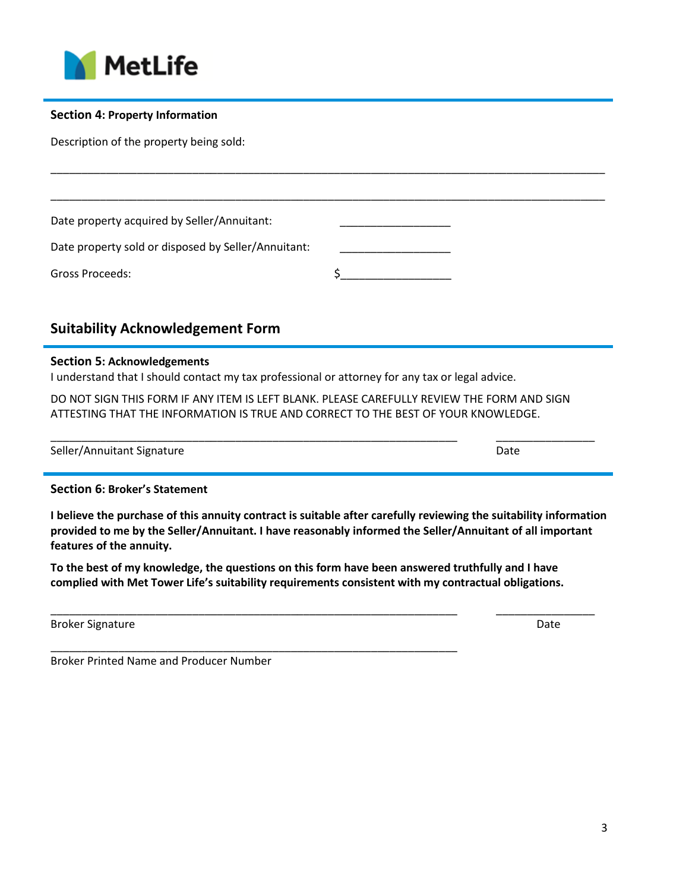

# **Section 4: Property Information**

Description of the property being sold:

| Date property acquired by Seller/Annuitant:         |  |
|-----------------------------------------------------|--|
| Date property sold or disposed by Seller/Annuitant: |  |
| Gross Proceeds:                                     |  |

\_\_\_\_\_\_\_\_\_\_\_\_\_\_\_\_\_\_\_\_\_\_\_\_\_\_\_\_\_\_\_\_\_\_\_\_\_\_\_\_\_\_\_\_\_\_\_\_\_\_\_\_\_\_\_\_\_\_\_\_\_\_\_\_\_\_\_\_\_\_\_\_\_\_\_\_\_\_\_\_\_\_\_\_\_\_\_\_\_\_

# **Suitability Acknowledgement Form**

# **Section 5: Acknowledgements**

I understand that I should contact my tax professional or attorney for any tax or legal advice.

DO NOT SIGN THIS FORM IF ANY ITEM IS LEFT BLANK. PLEASE CAREFULLY REVIEW THE FORM AND SIGN ATTESTING THAT THE INFORMATION IS TRUE AND CORRECT TO THE BEST OF YOUR KNOWLEDGE.

\_\_\_\_\_\_\_\_\_\_\_\_\_\_\_\_\_\_\_\_\_\_\_\_\_\_\_\_\_\_\_\_\_\_\_\_\_\_\_\_\_\_\_\_\_\_\_\_\_\_\_\_\_\_\_\_\_\_\_\_\_\_\_\_\_\_ \_\_\_\_\_\_\_\_\_\_\_\_\_\_\_\_

| Seller/Annuitant Signature | Date |
|----------------------------|------|
|----------------------------|------|

**Section 6: Broker's Statement**

**I believe the purchase of this annuity contract is suitable after carefully reviewing the suitability information provided to me by the Seller/Annuitant. I have reasonably informed the Seller/Annuitant of all important features of the annuity.** 

**To the best of my knowledge, the questions on this form have been answered truthfully and I have complied with Met Tower Life's suitability requirements consistent with my contractual obligations.** 

\_\_\_\_\_\_\_\_\_\_\_\_\_\_\_\_\_\_\_\_\_\_\_\_\_\_\_\_\_\_\_\_\_\_\_\_\_\_\_\_\_\_\_\_\_\_\_\_\_\_\_\_\_\_\_\_\_\_\_\_\_\_\_\_\_\_

\_\_\_\_\_\_\_\_\_\_\_\_\_\_\_\_\_\_\_\_\_\_\_\_\_\_\_\_\_\_\_\_\_\_\_\_\_\_\_\_\_\_\_\_\_\_\_\_\_\_\_\_\_\_\_\_\_\_\_\_\_\_\_\_\_\_ \_\_\_\_\_\_\_\_\_\_\_\_\_\_\_\_

Broker Signature Date Communications and the Date Date Date Date Date Date

Broker Printed Name and Producer Number